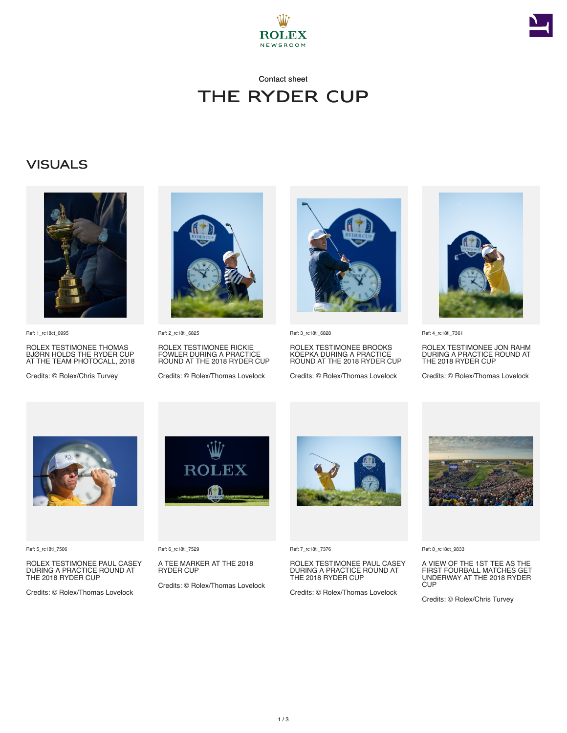



### Contact sheet The Ryder Cup

#### **VISUALS**



Ref: 1\_rc18ct\_0995

ROLEX TESTIMONEE THOMAS BJØRN HOLDS THE RYDER CUP AT THE TEAM PHOTOCALL, 2018

Credits: © Rolex/Chris Turvey



Ref: 2\_rc18tl\_6825

ROLEX TESTIMONEE RICKIE FOWLER DURING A PRACTICE ROUND AT THE 2018 RYDER CUP

Credits: © Rolex/Thomas Lovelock



Ref: 3\_rc18tl\_6828

ROLEX TESTIMONEE BROOKS KOEPKA DURING A PRACTICE ROUND AT THE 2018 RYDER CUP

Credits: © Rolex/Thomas Lovelock



Ref: 4\_rc18tl\_7361

ROLEX TESTIMONEE JON RAHM DURING A PRACTICE ROUND AT THE 2018 RYDER CUP

Credits: © Rolex/Thomas Lovelock



Ref: 5\_rc18tl\_7506

ROLEX TESTIMONEE PAUL CASEY DURING A PRACTICE ROUND AT THE 2018 RYDER CUP

Credits: © Rolex/Thomas Lovelock



Ref: 6\_rc18tl\_7529

A TEE MARKER AT THE 2018 RYDER CUP

Credits: © Rolex/Thomas Lovelock



Ref: 7\_rc18tl\_7376

ROLEX TESTIMONEE PAUL CASEY DURING A PRACTICE ROUND AT THE 2018 RYDER CUP

Credits: © Rolex/Thomas Lovelock



Ref: 8\_rc18ct\_9833

A VIEW OF THE 1ST TEE AS THE FIRST FOURBALL MATCHES GET UNDERWAY AT THE 2018 RYDER **CUP** 

Credits: © Rolex/Chris Turvey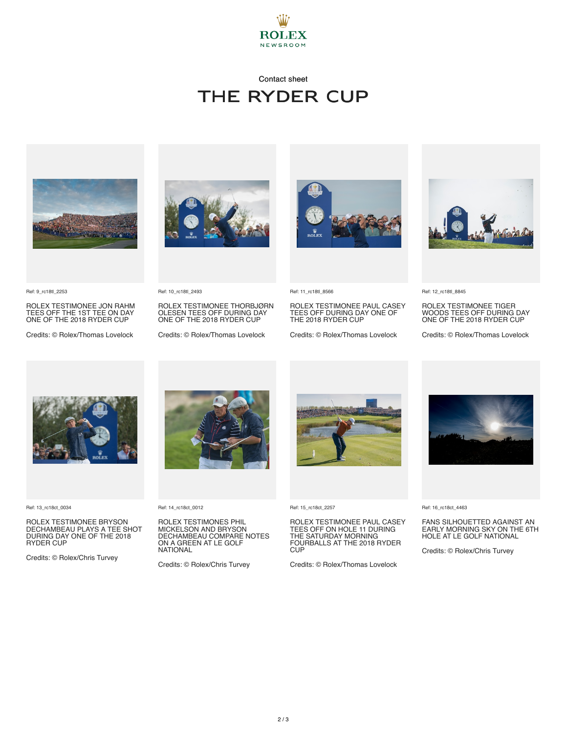

# Contact sheet The Ryder Cup





Ref: 9\_rc18tl\_2253

ROLEX TESTIMONEE JON RAHM TEES OFF THE 1ST TEE ON DAY ONE OF THE 2018 RYDER CUP

Credits: © Rolex/Thomas Lovelock

#### Ref: 10\_rc18tl\_2493

ROLEX TESTIMONEE THORBJØRN OLESEN TEES OFF DURING DAY ONE OF THE 2018 RYDER CUP

Credits: © Rolex/Thomas Lovelock



Ref: 11\_rc18tl\_8566

ROLEX TESTIMONEE PAUL CASEY TEES OFF DURING DAY ONE OF THE 2018 RYDER CUP

Credits: © Rolex/Thomas Lovelock



Ref: 12\_rc18tl\_8845

ROLEX TESTIMONEE TIGER WOODS TEES OFF DURING DAY ONE OF THE 2018 RYDER CUP

Credits: © Rolex/Thomas Lovelock



Ref: 13\_rc18ct\_0034

ROLEX TESTIMONEE BRYSON DECHAMBEAU PLAYS A TEE SHOT DURING DAY ONE OF THE 2018 RYDER CUP

Credits: © Rolex/Chris Turvey



Ref: 14\_rc18ct\_0012

ROLEX TESTIMONES PHIL MICKELSON AND BRYSON DECHAMBEAU COMPARE NOTES ON A GREEN AT LE GOLF NATIONAL

Credits: © Rolex/Chris Turvey



Ref: 15\_rc18ct\_2257

ROLEX TESTIMONEE PAUL CASEY<br>TEES OFF ON HOLE 11 DURING<br>THE SATURDAY MORNING<br>FOURBALLS AT THE 2018 RYDER C<sub>UP</sub>

Credits: © Rolex/Thomas Lovelock



Ref: 16\_rc18ct\_4463

FANS SILHOUETTED AGAINST AN EARLY MORNING SKY ON THE 6TH HOLE AT LE GOLF NATIONAL

Credits: © Rolex/Chris Turvey